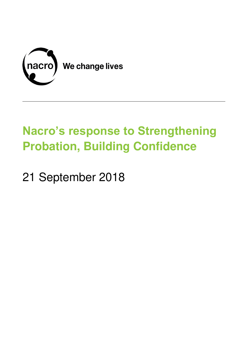

# **Nacro's response to Strengthening Probation, Building Confidence**

21 September 2018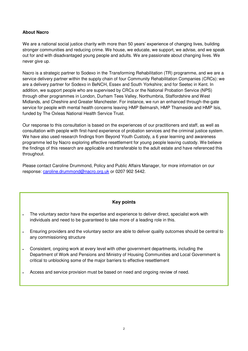# **About Nacro**

We are a national social justice charity with more than 50 years' experience of changing lives, building stronger communities and reducing crime. We house, we educate, we support, we advise, and we speak out for and with disadvantaged young people and adults. We are passionate about changing lives. We never give up.

Nacro is a strategic partner to Sodexo in the Transforming Rehabilitation (TR) programme, and we are a service delivery partner within the supply chain of four Community Rehabilitation Companies (CRCs): we are a delivery partner for Sodexo in BeNCH, Essex and South Yorkshire; and for Seetec in Kent. In addition, we support people who are supervised by CRCs or the National Probation Service (NPS) through other programmes in London, Durham Tees Valley, Northumbria, Staffordshire and West Midlands, and Cheshire and Greater Manchester. For instance, we run an enhanced through-the-gate service for people with mental health concerns leaving HMP Belmarsh, HMP Thameside and HMP Isis, funded by The Oxleas National Health Service Trust.

Our response to this consultation is based on the experiences of our practitioners and staff, as well as consultation with people with first-hand experience of probation services and the criminal justice system. We have also used research findings from Beyond Youth Custody, a 6 year learning and awareness programme led by Nacro exploring effective resettlement for young people leaving custody. We believe the findings of this research are applicable and transferable to the adult estate and have referenced this throughout.

Please contact Caroline Drummond, Policy and Public Affairs Manager, for more information on our response: [caroline.drummond@nacro.org.uk](mailto:caroline.drummond@nacro.org.uk) or 0207 902 5442.

# **Key points**

- The voluntary sector have the expertise and experience to deliver direct, specialist work with individuals and need to be guaranteed to take more of a leading role in this.
- Ensuring providers and the voluntary sector are able to deliver quality outcomes should be central to any commissioning structure
- Consistent, ongoing work at every level with other government departments, including the Department of Work and Pensions and Ministry of Housing Communities and Local Government is critical to unblocking some of the major barriers to effective resettlement
- Access and service provision must be based on need and ongoing review of need.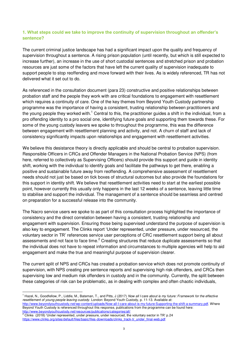# **1. What steps could we take to improve the continuity of supervision throughout an offender's sentence?**

The current criminal justice landscape has had a significant impact upon the quality and frequency of supervision throughout a sentence. A rising prison population (until recently, but which is still expected to increase further), an increase in the use of short custodial sentences and stretched prison and probation resources are just some of the factors that have left the current quality of supervision inadequate to support people to stop reoffending and move forward with their lives. As is widely referenced, TR has not delivered what it set out to do.

As referenced in the consultation document (para 23) constructive and positive relationships between probation staff and the people they work with are critical foundations to engagement with resettlement which requires a continuity of care. One of the key themes from Beyond Youth Custody partnership programme was the importance of having a consistent, trusting relationship between practitioners and the young people they worked with.<sup>1</sup> Central to this, the practitioner guides a shift in the individual, from a pro offending identity to a pro social one, identifying future goals and supporting them towards these. For some of the young custody leavers we spoke to throughout the programme, this was the difference between engagement with resettlement planning and activity, and not. A churn of staff and lack of consistency significantly impacts upon relationships and engagement with resettlement activities.

We believe this desistance theory is directly applicable and should be central to probation supervision. Responsible Officers in CRCs and Offender Managers in the National Probation Service (NPS) (from here, referred to collectively as Supervising Officers) should provide this support and guide in identity shift, working with the individual to identify goals and facilitate the pathways to get there, enabling a positive and sustainable future away from reoffending. A comprehensive assessment of resettlement needs should not just be based on tick boxes of structural outcomes but also provide the foundations for this support in identity shift. We believe that resettlement activities need to start at the earliest possible point, however currently this usually only happens in the last 12 weeks of a sentence, leaving little time to stabilise and support the individual. The management of a sentence should be seamless and centred on preparation for a successful release into the community.

The Nacro service users we spoke to as part of this consultation process highlighted the importance of consistency and the direct correlation between having a consistent, trusting relationship and engagement with supervision. Ensuring those being supervised understand the purpose of supervision is also key to engagement. The Clinks report 'Under represented, under pressure, under resourced, the voluntary sector in TR' references service user perceptions of CRC resettlement support being all about assessments and not face to face time. $^2$  Creating structures that reduce duplicate assessments so that the individual does not have to repeat information and circumstances to multiple agencies will help to aid engagement and make the true and meaningful purpose of supervision clearer.

The current split of NPS and CRCs has created a probation service which does not promote continuity of supervision, with NPS creating pre sentence reports and supervising high risk offenders, and CRCs then supervising low and medium risk offenders in custody and in the community. Currently, the split between these categories of risk can be problematic, as in dealing with complex and often chaotic individuals,

<sup>2</sup> Clinks (2018) 'Under represented, under pressure, under resourced, the voluntary sector in TR' p.24 https://www.clinks.org/sites/default/files/basic/files-downloads/clinks\_track-tr\_under\_final-web.pdf

<sup>&</sup>lt;sup>1</sup> Hazel, N., Goodfellow, P., Liddle, M., Bateman, T., and Pitts, J (2017) Now all I care about is my future: Framework for the effective *resettlement of young people leaving custody*. London: Beyond Youth Custody, p. 11-13. Available at:

[http://www.beyondyouthcustody.net/wp-content/uploads/Now-all-I-care-about-is-my-future-Supporting-the-shift-a-summary.pdf.](http://www.beyondyouthcustody.net/wp-content/uploads/Now-all-I-care-about-is-my-future-Supporting-the-shift-a-summary.pdf) Where Beyond Youth Custody is referenced throughout this response, publications from the programme can be found here: http://www.beyondyouthcustody.net/resources/publications/categories/all/<br>http://www.beyondyouthcustody.net/resources/publications/categories/all/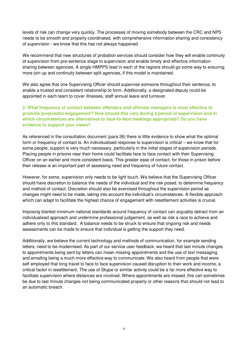levels of risk can change very quickly. The processes of moving somebody between the CRC and NPS needs to be smooth and properly coordinated, with comprehensive information sharing and consistency of supervision - we know that this has not always happened.

We recommend that new structures of probation services should consider how they will enable continuity of supervision from pre-sentence stage to supervision and enable timely and effective information sharing between agencies. A single HMPPS lead in each of the regions should go some way to ensuring more join up and continuity between split agencies, if this model is maintained.

We also agree that one Supervising Officer should supervise someone throughout their sentence, to enable a trusted and consistent relationship to form. Additionally, a designated deputy could be appointed in each team to cover illnesses, staff annual leave and turnover.

# **2. What frequency of contact between offenders and offender managers is most effective to promote purposeful engagement? How should this vary during a period of supervision and in which circumstances are alternatives to face-to-face meetings appropriate? Do you have evidence to support your views?**

As referenced in the consultation document (para 26) there is little evidence to show what the optimal form or frequency of contact is. An individualised response to supervision is critical – we know that for some people, support is very much necessary, particularly in the initial stages of supervision periods. Placing people in prisons near their home could facilitate face to face contact with their Supervising Officer on an earlier and more consistent basis. This greater ease of contact, for those in prison before their release is an important part of assessing need and frequency of future contact.

However, for some, supervision only needs to be light touch. We believe that the Supervising Officer should have discretion to balance the needs of the individual and the risk posed, to determine frequency and method of contact. Discretion should also be exercised throughout the supervision period as changes might need to be made, taking into account the individual's circumstances. A flexible approach which can adapt to facilitate the highest chance of engagement with resettlement activities is crucial.

Imposing blanket minimum national standards around frequency of contact can arguably detract from an individualised approach and undermine professional judgement, as well as risk a race to achieve and adhere only to this standard. A balance needs to be struck to ensure that ongoing risk and needs assessments can be made to ensure that individual is getting the support they need.

Additionally, we believe the current technology and methods of communication, for example sending letters, need to be modernised. As part of our service user feedback, we heard that last minute changes to appointments being sent by letters can mean missing appointments and the use of text messaging and emailing being a much more effective way to communicate. We also heard from people that were self employed that long travel to face to face supervision caused disruption to their work and income, a critical factor in resettlement. The use of Skype or similar activity could be a far more effective way to facilitate supervision where distances are involved. Where appointments are missed, this can sometimes be due to last minute changes not being communicated properly or other reasons that should not lead to an automatic breach.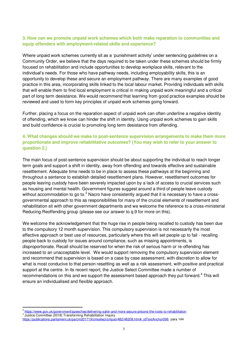#### **3. How can we promote unpaid work schemes which both make reparation to communities and equip offenders with employment-related skills and experience?**

Where unpaid work schemes currently sit as a 'punishment activity' under sentencing guidelines on a Community Order, we believe that the days required to be taken under these schemes should be firmly focused on rehabilitation and include opportunities to develop workplace skills, relevant to the individual's needs. For those who have pathway needs, including employability skills, this is an opportunity to develop these and secure an employment pathway. There are many examples of good practice in this area, incorporating skills linked to the local labour market. Providing individuals with skills that will enable them to find local employment is critical in making unpaid work meaningful and a critical part of long term desistance. We would recommend that learning from good practice examples should be reviewed and used to form key principles of unpaid work schemes going forward.

Further, placing a focus on the reparation aspect of unpaid work can often underline a negative identity of offending, which we know can hinder the shift in identity. Using unpaid work schemes to gain skills and build confidence is crucial to promoting long term desistance from offending.

# **4. What changes should we make to post-sentence supervision arrangements to make them more proportionate and improve rehabilitative outcomes? (You may wish to refer to your answer to question 2.)**

The main focus of post-sentence supervision should be about supporting the individual to reach longer term goals and support a shift in identity, away from offending and towards effective and sustainable resettlement. Adequate time needs to be in place to assess these pathways at the beginning and throughout a sentence to establish detailed resettlement plans. However, resettlement outcomes for people leaving custody have been severely impacted upon by a lack of access to crucial services such as housing and mental health. Government figures suggest around a third of people leave custody without accommodation to go to. $^3$  Nacro have consistently argued that it is necessary to have a crossgovernmental approach to this as responsibilities for many of the crucial elements of resettlement and rehabilitation sit with other government departments and we welcome the reference to a cross-ministerial Reducing Reoffending group (please see our answer to q.9 for more on this).

We welcome the acknowledgement that the huge rise in people being recalled to custody has been due to the compulsory 12 month supervision. This compulsory supervision is not necessarily the most effective approach or best use of resources, particularly where this will set people up to fail - recalling people back to custody for issues around compliance, such as missing appointments, is disproportionate. Recall should be reserved for when the risk of serious harm or re-offending has increased to an unacceptable level. We would support removing the compulsory supervision element and recommend that supervision is based on a case by case assessment, with discretion to allow for what is most conducive to that person resettling as well as a risk assessment, with positive and practical support at the centre. In its recent report, the Justice Select Committee made a number of recommendations on this and we support the assessment based approach they put forward.<sup>4</sup> This will ensure an individualised and flexible approach.

<sup>3</sup> https://www.gov.uk/government/speeches/delivering-safer-and-more-secure-prisons-the-roots-to-rehabilitation

<sup>4</sup> Justice Committee (2018) Transforming Rehabilitation Inquiry

[https://publications.parliament.uk/pa/cm201719/cmselect/cmjust/482/48208.htm#\\_idTextAnchor096](https://publications.parliament.uk/pa/cm201719/cmselect/cmjust/482/48208.htm#_idTextAnchor096) para 144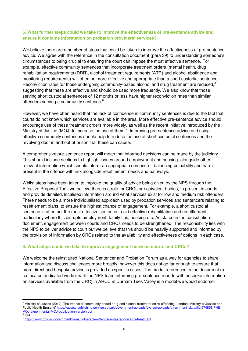## **5. What further steps could we take to improve the effectiveness of pre-sentence advice and ensure it contains information on probation providers' services?**

We believe there are a number of steps that could be taken to improve the effectiveness of pre-sentence advice. We agree with the reference in the consultation document (para 39) to understanding someone's circumstances to being crucial to ensuring the court can impose the most effective sentence. For example, effective community sentences that incorporate treatment orders (mental health, drug rehabilitation requirements (DRR), alcohol treatment requirements (ATR) and alcohol abstinence and monitoring requirements) will often be more effective and appropriate than a short custodial sentence. Reconviction rates for those undergoing community-based alcohol and drug treatment are reduced,<sup>5</sup> suggesting that these are effective and should be used more frequently. We also know that those serving short custodial sentences of 12 months or less have higher reconviction rates than similar offenders serving a community sentence.<sup>6</sup>

However, we have often heard that the lack of confidence in community sentences is due to the fact that courts do not know which services are available in the area. More effective pre-sentence advice should encourage use of these treatment orders more widely, as well as the recent initiative introduced by the Ministry of Justice (MOJ) to increase the use of them.<sup>7</sup> Improving pre-sentence advice and using effective community sentences should help to reduce the use of short custodial sentences and the revolving door in and out of prison that these can cause.

A comprehensive pre-sentence report will mean that informed decisions can be made by the judiciary. This should include sections to highlight issues around employment and housing, alongside other relevant information which should inform an appropriate sentence – balancing culpability and harm present in the offence with risk alongside resettlement needs and pathways.

Whilst steps have been taken to improve the quality of advice being given by the NPS through the Effective Proposal Tool, we believe there is a role for CRCs or equivalent bodies, to present in courts and provide detailed, localised information around what services exist for low and medium risk offenders. There needs to be a more individualised approach used by probation services and sentencers relating to resettlement plans, to ensure the highest chance of engagement. For example, a short custodial sentence is often not the most effective sentence to aid effective rehabilitation and resettlement, particularly where this disrupts employment, family ties, housing etc. As stated in the consultation document, engagement between courts and CRCs needs to be strengthened. The responsibility lies with the NPS to deliver advice to court but we believe that this should be heavily supported and informed by the provision of information by CRCs related to the availability and effectiveness of options in each case.

## **6. What steps could we take to improve engagement between courts and CRCs?**

We welcome the reinstituted National Sentencer and Probation Forum as a way for agencies to share information and discuss challenges more broadly, however this does not go far enough to ensure that more direct and bespoke advice is provided on specific cases. The model referenced in the document (a co-located dedicated worker with the NPS team informing pre-sentence reports with bespoke information on services available from the CRC) in ARCC in Durham Tees Valley is a model we would endorse.

<sup>&</sup>lt;sup>5</sup> Ministry of Justice (2017) 'The Impact of community-based drug and alcohol treatment on re-offending, London: Ministry of Justice and Public Health England' [https://assets.publishing.service.gov.uk/government/uploads/system/uploads/attachment\\_data/file/674858/PHE-](https://assets.publishing.service.gov.uk/government/uploads/system/uploads/attachment_data/file/674858/PHE-MoJ-experimental-MoJ-publication-version.pdf)[MOJ-experimental-MOJ-publication-version.pdf](https://assets.publishing.service.gov.uk/government/uploads/system/uploads/attachment_data/file/674858/PHE-MoJ-experimental-MoJ-publication-version.pdf)  6 Ibid.

<sup>&</sup>lt;sup>7</sup> https://www.gov.uk/government/news/vulnerable-offenders-steered-towards-treatment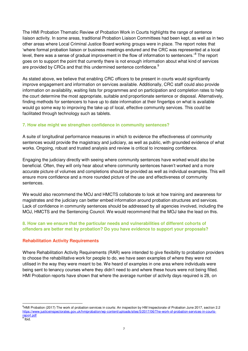The HMI Probation Thematic Review of Probation Work in Courts highlights the range of sentence liaison activity. In some areas, traditional Probation Liaison Committees had been kept, as well as in two other areas where Local Criminal Justice Board working groups were in place. The report notes that 'where formal probation liaison or business meetings endured and the CRC was represented at a local level, there was a sense of gradual improvement in the flow of information to sentencers.<sup>8</sup> The report goes on to support the point that currently there is not enough information about what kind of services are provided by CRCs and that this undermined sentence confidence.<sup>9</sup>

As stated above, we believe that enabling CRC officers to be present in courts would significantly improve engagement and information on services available. Additionally, CRC staff could also provide information on availability, waiting lists for programmes and on participation and completion rates to help the court determine the most appropriate, suitable and proportionate sentence or disposal. Alternatively, finding methods for sentencers to have up to date information at their fingertips on what is available would go some way to improving the take up of local, effective community services. This could be facilitated through technology such as tablets.

## **7. How else might we strengthen confidence in community sentences?**

A suite of longitudinal performance measures in which to evidence the effectiveness of community sentences would provide the magistracy and judiciary, as well as public, with grounded evidence of what works. Ongoing, robust and trusted analysis and review is critical to increasing confidence.

Engaging the judiciary directly with seeing where community sentences have worked would also be beneficial. Often, they will only hear about where community sentences haven't worked and a more accurate picture of volumes and completions should be provided as well as individual examples. This will ensure more confidence and a more rounded picture of the use and effectiveness of community sentences.

We would also recommend the MOJ and HMCTS collaborate to look at how training and awareness for magistrates and the judiciary can better embed information around probation structures and services. Lack of confidence in community sentences should be addressed by all agencies involved, including the MOJ, HMCTS and the Sentencing Council. We would recommend that the MOJ take the lead on this.

# **8. How can we ensure that the particular needs and vulnerabilities of different cohorts of offenders are better met by probation? Do you have evidence to support your proposals?**

# **Rehabilitation Activity Requirements**

 $\overline{a}$ 

Where Rehabilitation Activity Requirements (RAR) were intended to give flexibility to probation providers to choose the rehabilitative work for people to do, we have seen examples of where they were not utilised in the way they were meant to be. We heard of examples in one area where individuals were being sent to tenancy courses where they didn't need to and where these hours were not being filled. HMI Probation reports have shown that where the average number of activity days required is 28, on

<sup>&</sup>lt;sup>8</sup>HMI Probation (2017) The work of probation services in courts: An inspection by HM Inspectorate of Probation June 2017, section 2.2 [https://www.justiceinspectorates.gov.uk/hmiprobation/wp-content/uploads/sites/5/2017/06/The-work-of-probation-services-in-courts](https://www.justiceinspectorates.gov.uk/hmiprobation/wp-content/uploads/sites/5/2017/06/The-work-of-probation-services-in-courts-report.pdf)report.pdf<br><sup>9</sup> Ibid.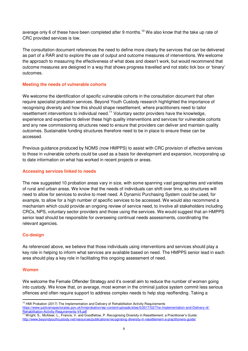average only 6 of these have been completed after 9 months.<sup>10</sup> We also know that the take up rate of CRC provided services is low.

The consultation document references the need to define more clearly the services that can be delivered as part of a RAR and to explore the use of output and outcome measures of interventions. We welcome the approach to measuring the effectiveness of what does and doesn't work, but would recommend that outcome measures are designed in a way that shows progress travelled and not static tick box or 'binary' outcomes.

## **Meeting the needs of vulnerable cohorts**

We welcome the identification of specific vulnerable cohorts in the consultation document that often require specialist probation services. Beyond Youth Custody research highlighted the importance of recognising diversity and how this should shape resettlement, where practitioners need to tailor resettlement interventions to individual need.<sup>11</sup> Voluntary sector providers have the knowledge, experience and expertise to deliver these high quality interventions and services for vulnerable cohorts and any new commissioning structures need to ensure that providers can deliver and maintain quality outcomes. Sustainable funding structures therefore need to be in place to ensure these can be accessed.

Previous guidance produced by NOMS (now HMPPS) to assist with CRC provision of effective services to those in vulnerable cohorts could be used as a basis for development and expansion, incorporating up to date information on what has worked in recent projects or areas.

#### **Accessing services linked to needs**

The new suggested 10 probation areas vary in size, with some spanning vast geographies and varieties of rural and urban areas. We know that the needs of individuals can shift over time, so structures will need to allow for services to evolve to meet need. A Dynamic Purchasing System could be used, for example, to allow for a high number of specific services to be accessed. We would also recommend a mechanism which could provide an ongoing review of service need, to involve all stakeholders including CRCs, NPS, voluntary sector providers and those using the services. We would suggest that an HMPPS senior lead should be responsible for overseeing continual needs assessments, coordinating the relevant agencies.

## **Co-design**

As referenced above, we believe that those individuals using interventions and services should play a key role in helping to inform what services are available based on need. The HMPPS senior lead in each area should play a key role in facilitating this ongoing assessment of need.

## **Women**

 $\overline{a}$ 

We welcome the Female Offender Strategy and it's overall aim to reduce the number of women going into custody. We know that, on average, most women in the criminal justice system commit less serious offences and often require support to address complex needs to help stop reoffending. Taking a

<sup>&</sup>lt;sup>10</sup> HMI Probation (2017) The Implementation and Delivery of Rehabilitation Activity Requirements

[https://www.justiceinspectorates.gov.uk/hmiprobation/wp-content/uploads/sites/5/2017/02/The-Implementation-and-Delivery-of-](https://www.justiceinspectorates.gov.uk/hmiprobation/wp-content/uploads/sites/5/2017/02/The-Implementation-and-Delivery-of-Rehabilitation-Activity-Requirements-V4.pdf)Rehabilitation-Activity-Requirements-V4.pdf

<sup>11</sup> Wright, S., McAteer, L., Francis, V. and Goodfellow, P. Recognising Diversity in Resettlement: a Practitioner's Guide: http://www.beyondyouthcustody.net/resources/publications/recognising-diversity-in-resettlement-a-practitioners-guide/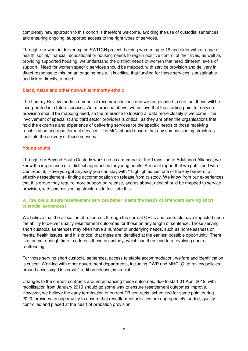completely new approach to this cohort is therefore welcome, avoiding the use of custodial sentences and ensuring ongoing, supported access to the right types of services.

Through our work in delivering the SWITCH project, helping women aged 16 and older with a range of health, social, financial, educational or housing needs to regain positive control of their lives, as well as providing supported housing, we understand the distinct needs of women that need different levels of support. Need for women specific services should be mapped, with service provision and delivery in direct response to this, on an ongoing basis. It is critical that funding for these services is sustainable and linked directly to need.

#### **Black, Asian and other non-white minority ethnic**

The Lammy Review made a number of recommendations and we are pleased to see that these will be incorporated into future services. As referenced above, we believe that the starting point for service provision should be mapping need, so the reference to looking at data more closely is welcome. The involvement of specialist and third sector providers is critical, as they are often the organisations that hold the expertise and experience of delivering services for the specific needs of those receiving rehabilitation and resettlement services. The MOJ should ensure that any commissioning structures facilitate the delivery of these services.

#### **Young adults**

Through our Beyond Youth Custody work and as a member of the Transition to Adulthood Alliance, we know the importance of a distinct approach is for young adults. A recent report that we published with Centrepoint, 'Have you got anybody you can stay with?' highlighted just one of the key barriers to effective resettlement - finding accommodation on release from custody. We know from our experiences that this group may require more support on release, and as above, need should be mapped to service provision, with commissioning structures to facilitate this.

## **9. How could future resettlement services better meets the needs of offenders serving short custodial sentences?**

We believe that the allocation of resources through the current CRCs and contracts have impacted upon the ability to deliver quality resettlement outcomes for those on any length of sentence. Those serving short custodial sentences may often have a number of underlying needs, such as homelessness or mental health issues, and it is critical that these are identified at the earliest possible opportunity. There is often not enough time to address these in custody, which can then lead to a revolving door of reoffending.

For those serving short custodial sentences, access to stable accommodation, welfare and identification is critical. Working with other government departments, including DWP and MHCLG, to review policies around accessing Universal Credit on release, is crucial.

Changes to the current contracts around enhancing these outcomes, due to start 01 April 2019, with mobilisation from January 2019 should go some way to ensure resettlement outcomes improve. However, we believe the early termination of current TR contracts, scheduled for some point during 2020, provides an opportunity to ensure that resettlement activities are appropriately funded, quality controlled and placed at the heart of probation provision.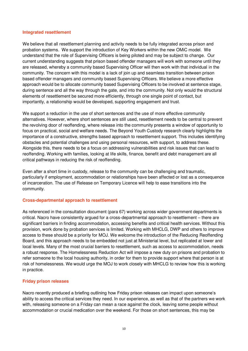#### **Integrated resettlement**

We believe that all resettlement planning and activity needs to be fully integrated across prison and probation systems. We support the introduction of Key Workers within the new OMiC model. We understand that the role of Supervising Officers is being piloted and may be subject to change. Our current understanding suggests that prison based offender managers will work with someone until they are released, whereby a community based Supervising Officer will then work with that individual in the community. The concern with this model is a lack of join up and seamless transition between prison based offender managers and community based Supervising Officers. We believe a more effective approach would be to allocate community based Supervising Officers to be involved at sentence stage, during sentence and all the way through the gate, and into the community. Not only would the structural elements of resettlement be secured more efficiently, through one single point of contact, but importantly, a relationship would be developed, supporting engagement and trust.

We support a reduction in the use of short sentences and the use of more effective community alternatives. However, where short sentences are still used, resettlement needs to be central to prevent the revolving door of reoffending, where release into the community presents a window of opportunity to focus on practical, social and welfare needs. The Beyond Youth Custody research clearly highlights the importance of a constructive, strengths based approach to resettlement support. This includes identifying obstacles and potential challenges and using personal resources, with support, to address these. Alongside this, there needs to be a focus on addressing vulnerabilities and risk issues that can lead to reoffending. Working with families, looking at life skills, finance, benefit and debt management are all critical pathways in reducing the risk of reoffending.

Even after a short time in custody, release to the community can be challenging and traumatic, particularly if employment, accommodation or relationships have been affected or lost as a consequence of incarceration. The use of Release on Temporary Licence will help to ease transitions into the community.

#### **Cross-departmental approach to resettlement**

As referenced in the consultation document (para 67) working across wider government departments is critical. Nacro have consistently argued for a cross-departmental approach to resettlement – there are significant barriers in finding accommodation, accessing benefits and critical health services. Without this provision, work done by probation services is limited. Working with MHCLG, DWP and others to improve access to these should be a priority for MOJ. We welcome the introduction of the Reducing Reoffending Board, and this approach needs to be embedded not just at Ministerial level, but replicated at lower and local levels. Many of the most crucial barriers to resettlement, such as access to accommodation, needs a robust response. The Homelessness Reduction Act will impose a new duty on prisons and probation to refer someone to the local housing authority, in order for them to provide support where that person is at risk of homelessness. We would urge the MOJ to work closely with MHCLG to review how this is working in practice.

#### **Friday prison releases**

Nacro recently produced a briefing outlining how Friday prison releases can impact upon someone's ability to access the critical services they need. In our experience, as well as that of the partners we work with, releasing someone on a Friday can mean a race against the clock, leaving some people without accommodation or crucial medication over the weekend. For those on short sentences, this may be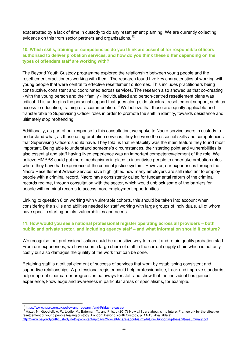exacerbated by a lack of time in custody to do any resettlement planning. We are currently collecting evidence on this from sector partners and organisations.<sup>12</sup>

# **10. Which skills, training or competencies do you think are essential for responsible officers authorised to deliver probation services, and how do you think these differ depending on the types of offenders staff are working with?**

The Beyond Youth Custody programme explored the relationship between young people and the resettlement practitioners working with them. The research found five key characteristics of working with young people that were central to effective resettlement outcomes. This includes practitioners being constructive, consistent and coordinated across services. The research also showed us that co-creating - with the young person and their family - individualised and person-centred resettlement plans was critical. This underpins the personal support that goes along side structural resettlement support, such as access to education, training or accommodation.<sup>13</sup> We believe that these are equally applicable and transferrable to Supervising Officer roles in order to promote the shift in identity, towards desistance and ultimately stop reoffending.

Additionally, as part of our response to this consultation, we spoke to Nacro service users in custody to understand what, as those using probation services, they felt were the essential skills and competencies that Supervising Officers should have. They told us that relatability was the main feature they found most important. Being able to understand someone's circumstances, their starting point and vulnerabilities is also essential and staff having lived experience was an important competency/element of the role. We believe HMPPS could put more mechanisms in place to incentivise people to undertake probation roles where they have had experience of the criminal justice system. However, our experiences through the Nacro Resettlement Advice Service have highlighted how many employers are still reluctant to employ people with a criminal record. Nacro have consistently called for fundamental reform of the criminal records regime, through consultation with the sector, which would unblock some of the barriers for people with criminal records to access more employment opportunities.

Linking to question 8 on working with vulnerable cohorts, this should be taken into account when considering the skills and abilities needed for staff working with large groups of individuals, all of whom have specific starting points, vulnerabilities and needs.

## **11. How would you see a national professional register operating across all providers – both public and private sector, and including agency staff – and what information should it capture?**

We recognise that professionalisation could be a positive way to recruit and retain quality probation staff. From our experiences, we have seen a large churn of staff in the current supply chain which is not only costly but also damages the quality of the work that can be done.

Retaining staff is a critical element of success of services that work by establishing consistent and supportive relationships. A professional register could help professionalise, track and improve standards, help map-out clear career progression pathways for staff and show that the individual has gained experience, knowledge and awareness in particular areas or specialisms, for example.

<sup>12</sup> <https://www.nacro.org.uk/policy-and-research/end-Friday-releases/>

<sup>&</sup>lt;sup>13</sup> Hazel, N., Goodfellow, P., Liddle, M., Bateman, T., and Pitts, J (2017) Now all I care about is my future: Framework for the effective resettlement of young people leaving custody. London: Beyond Youth Custody, p. 11-13. Available at: [http://www.beyondyouthcustody.net/wp-content/uploads/Now-all-I-care-about-is-my-future-Supporting-the-shift-a-summary.pdf.](http://www.beyondyouthcustody.net/wp-content/uploads/Now-all-I-care-about-is-my-future-Supporting-the-shift-a-summary.pdf)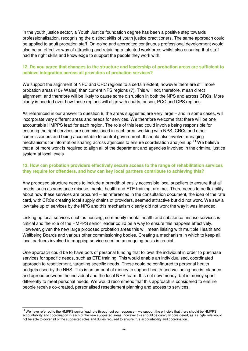In the youth justice sector, a Youth Justice foundation degree has been a positive step towards professionalisation, recognising the distinct skills of youth justice practitioners. The same approach could be applied to adult probation staff. On-going and accredited continuous professional development would also be an effective way of attracting and retaining a talented workforce, whilst also ensuring that staff had the right skills and knowledge to support the people they work with.

# **12. Do you agree that changes to the structure and leadership of probation areas are sufficient to achieve integration across all providers of probation services?**

We support the alignment of NPC and CRC regions to a certain extent, however there are still more probation areas (10+ Wales) than current NPS regions (7). This will not, therefore, mean direct alignment, and therefore will be likely to cause some disruption in both the NPS and across CRCs. More clarity is needed over how these regions will align with courts, prison, PCC and CPS regions.

As referenced in our answer to question 8, the areas suggested are very large – and in some cases, will incorporate very different areas and needs for services. We therefore welcome that there will be one accountable HMPPS lead for each region. The role of this lead could involve being responsible for ensuring the right services are commissioned in each area, working with NPS, CRCs and other commissioners and being accountable to central government. It should also involve managing mechanisms for information sharing across agencies to ensure coordination and join up.<sup>14</sup> We believe that a lot more work is required to align all of the department and agencies involved in the criminal justice system at local levels.

## **13. How can probation providers effectively secure access to the range of rehabilitation services they require for offenders, and how can key local partners contribute to achieving this?**

Any proposed structure needs to include a breadth of easily accessible local suppliers to ensure that all needs, such as substance misuse, mental health and ETE training, are met. There needs to be flexibility about how these services are procured – as referenced in the consultation document, the idea of the rate card, with CRCs creating local supply chains of providers, seemed attractive but did not work. We saw a low take up of services by the NPS and this mechanism clearly did not work the way it was intended.

Linking up local services such as housing, community mental health and substance misuse services is critical and the role of the HMPPS senior leader could be a way to ensure this happens effectively. However, given the new large proposed probation areas this will mean liaising with multiple Health and Wellbeing Boards and various other commissioning bodies. Creating a mechanism in which to keep all local partners involved in mapping service need on an ongoing basis is crucial.

One approach could be to have pots of personal funding that follows the individual in order to purchase services for specific needs, such as ETE training. This would enable an individualised, coordinated approach to resettlement, targeting specific needs. These could be configured to personal health budgets used by the NHS. This is an amount of money to support health and wellbeing needs, planned and agreed between the individual and the local NHS team. It is not new money, but is money spent differently to meet personal needs. We would recommend that this approach is considered to ensure people receive co-created, personalised resettlement planning and access to services.

<sup>&</sup>lt;sup>14</sup> We have referred to the HMPPS senior lead role throughout our response – we support the principle that there should be HMPPS accountability and coordination in each of the new suggested areas, however this should be carefully considered, as a single role would not be able to cover all of the suggested roles and duties required to ensure true accountability and coordination.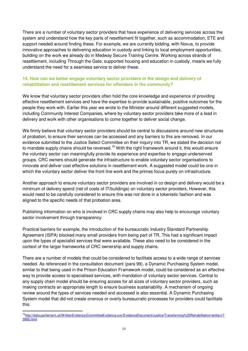There are a number of voluntary sector providers that have experience of delivering services across the system and understand how the key parts of resettlement fit together, such as accommodation, ETE and support needed around finding these. For example, we are currently bidding, with Novus, to provide innovative approaches to delivering education in custody and linking to local employment opportunities, building on the work we already do in Medway Secure Training Centre. Working across strands of resettlement, including Through the Gate, supported housing and education in custody, means we fully understand the need for a seamless service to deliver these.

# **14. How can we better engage voluntary sector providers in the design and delivery of rehabilitation and resettlement services for offenders in the community?**

We know that voluntary sector providers often hold the core knowledge and experience of providing effective resettlement services and have the expertise to provide sustainable, positive outcomes for the people they work with. Earlier this year we wrote to the Minister around different suggested models, including Community Interest Companies, where by voluntary sector providers take more of a lead in delivery and work with other organisations to come together to deliver social change.

We firmly believe that voluntary sector providers should be central to discussions around new structures of probation, to ensure their services can be accessed and any barriers to this are removed. In our evidence submitted to the Justice Select Committee on their inquiry into TR, we stated the decision not to mandate supply chains should be reversed.<sup>15</sup> With the right framework around it, this would ensure the voluntary sector can meaningfully provide its experience and expertise to engage underserved groups. CRC owners should generate the infrastructure to enable voluntary sector organisations to innovate and deliver cost effective solutions in resettlement work. A suggested model could be one in which the voluntary sector deliver the front line work and the primes focus purely on infrastructure.

Another approach to ensure voluntary sector providers are involved in co design and delivery would be a minimum of delivery spend (net of costs of IT/buildings) on voluntary sector providers. However, this would need to be carefully considered to ensure this was not done in a tokenistic fashion and was aligned to the specific needs of that probation area.

Publishing information on who is involved in CRC supply chains may also help to encourage voluntary sector involvement through transparency.

Practical barriers for example, the introduction of the bureaucratic Industry Standard Partnership Agreement (ISPA) blocked many small providers from being part of TR. This had a significant impact upon the types of specialist services that were available. These also need to be considered in the context of the larger frameworks of CRC ownership and supply chains.

There are a number of models that could be considered to facilitate access to a wide range of services needed. As referenced in the consultation document (para 99), a Dynamic Purchasing System model, similar to that being used in the Prison Education Framework model, could be considered as an effective way to provide access to specialised services, with mandation of voluntary sector services. Central to any supply chain model should be ensuring access for all sizes of voluntary sector providers, such as making contracts an appropriate length to ensure business sustainability. A mechanism of ongoing review around the types of services needed and accessed is also essential. A Dynamic Purchasing System model that did not create onerous or overly bureaucratic processes for providers could facilitate this.

<sup>15</sup>[http://data.parliament.uk/WrittenEvidence/CommitteeEvidence.svc/EvidenceDocument/Justice/Transforming%20Rehabilitation/written/7](http://data.parliament.uk/WrittenEvidence/CommitteeEvidence.svc/EvidenceDocument/Justice/Transforming%20Rehabilitation/written/73965.html) [3965.html](http://data.parliament.uk/WrittenEvidence/CommitteeEvidence.svc/EvidenceDocument/Justice/Transforming%20Rehabilitation/written/73965.html)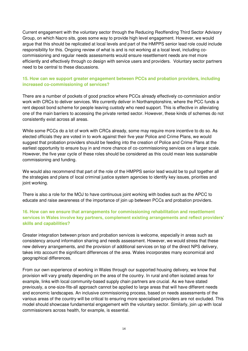Current engagement with the voluntary sector through the Reducing Reoffending Third Sector Advisory Group, on which Nacro sits, goes some way to provide high level engagement. However, we would argue that this should be replicated at local levels and part of the HMPPS senior lead role could include responsibility for this. Ongoing review of what is and is not working at a local level, including cocommissioning and regular needs assessments would ensure resettlement needs are met more efficiently and effectively through co design with service users and providers. Voluntary sector partners need to be central to these discussions.

# **15. How can we support greater engagement between PCCs and probation providers, including increased co-commissioning of services?**

There are a number of pockets of good practice where PCCs already effectively co-commission and/or work with CRCs to deliver services. We currently deliver in Northamptonshire, where the PCC funds a rent deposit bond scheme for people leaving custody who need support. This is effective in alleviating one of the main barriers to accessing the private rented sector. However, these kinds of schemes do not consistently exist across all areas.

While some PCCs do a lot of work with CRCs already, some may require more incentive to do so. As elected officials they are voted in to work against their five year Police and Crime Plans, we would suggest that probation providers should be feeding into the creation of Police and Crime Plans at the earliest opportunity to ensure buy in and more chance of co-commissioning services on a larger scale. However, the five year cycle of these roles should be considered as this could mean less sustainable commissioning and funding.

We would also recommend that part of the role of the HMPPS senior lead would be to pull together all the strategies and plans of local criminal justice system agencies to identify key issues, priorities and joint working.

There is also a role for the MOJ to have continuous joint working with bodies such as the APCC to educate and raise awareness of the importance of join up between PCCs and probation providers.

# **16. How can we ensure that arrangements for commissioning rehabilitation and resettlement services in Wales involve key partners, complement existing arrangements and reflect providers' skills and capabilities?**

Greater integration between prison and probation services is welcome, especially in areas such as consistency around information sharing and needs assessment. However, we would stress that these new delivery arrangements, and the provision of additional services on top of the direct NPS delivery, takes into account the significant differences of the area. Wales incorporates many economical and geographical differences.

From our own experience of working in Wales through our supported housing delivery, we know that provision will vary greatly depending on the area of the country. In rural and often isolated areas for example, links with local community-based supply chain partners are crucial. As we have stated previously, a one-size-fits-all approach cannot be applied to large areas that will have different needs and economic landscapes. An inclusive commissioning process, based on needs assessments of the various areas of the country will be critical to ensuring more specialised providers are not excluded. This model should showcase fundamental engagement with the voluntary sector. Similarly, join up with local commissioners across health, for example, is essential.